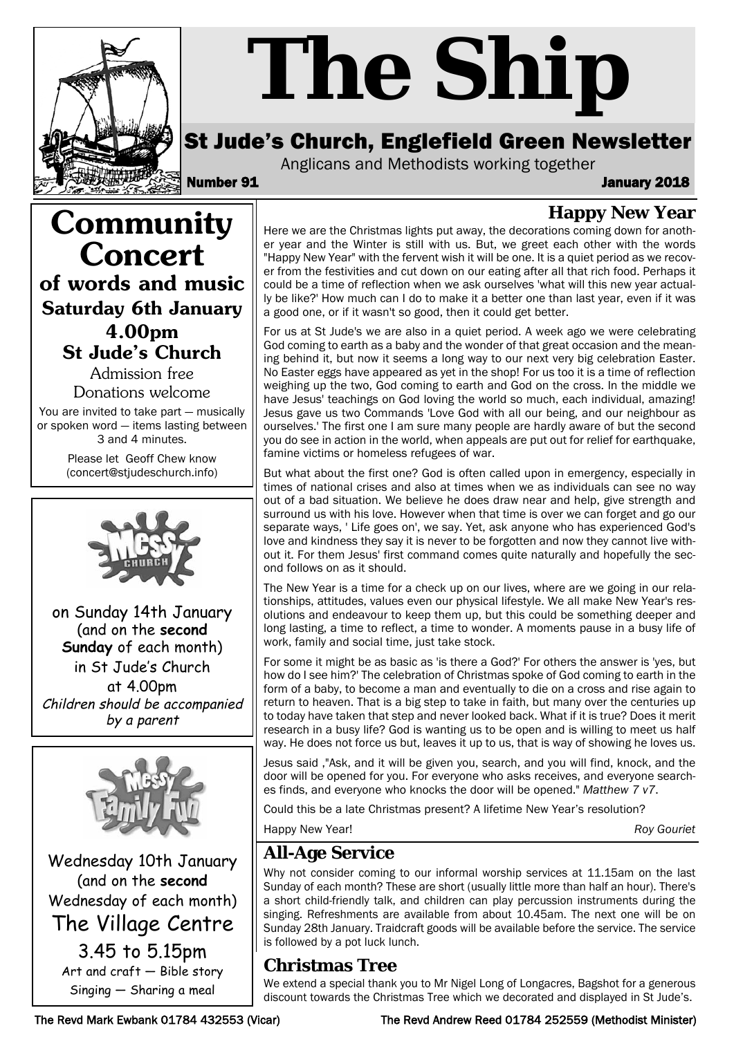

**Community**

**Concert**

**of words and music**

**Saturday 6th January 4.00pm St Jude's Church** Admission free Donations welcome You are invited to take part — musically or spoken word — items lasting between 3 and 4 minutes. Please let Geoff Chew know (concert@stjudeschurch.info)

on Sunday 14th January (and on the **second Sunday** of each month) in St Jude's Church at 4.00pm Children should be accompanied by a parent

# *The Ship*

# St Jude's Church, Englefield Green Newsletter

Anglicans and Methodists working together

Number 91 January 2018

# **Happy New Year**

Here we are the Christmas lights put away, the decorations coming down for another year and the Winter is still with us. But, we greet each other with the words "Happy New Year" with the fervent wish it will be one. It is a quiet period as we recover from the festivities and cut down on our eating after all that rich food. Perhaps it could be a time of reflection when we ask ourselves 'what will this new year actually be like?' How much can I do to make it a better one than last year, even if it was a good one, or if it wasn't so good, then it could get better.

For us at St Jude's we are also in a quiet period. A week ago we were celebrating God coming to earth as a baby and the wonder of that great occasion and the meaning behind it, but now it seems a long way to our next very big celebration Easter. No Easter eggs have appeared as yet in the shop! For us too it is a time of reflection weighing up the two, God coming to earth and God on the cross. In the middle we have Jesus' teachings on God loving the world so much, each individual, amazing! Jesus gave us two Commands 'Love God with all our being, and our neighbour as ourselves.' The first one I am sure many people are hardly aware of but the second you do see in action in the world, when appeals are put out for relief for earthquake, famine victims or homeless refugees of war.

But what about the first one? God is often called upon in emergency, especially in times of national crises and also at times when we as individuals can see no way out of a bad situation. We believe he does draw near and help, give strength and surround us with his love. However when that time is over we can forget and go our separate ways, ' Life goes on', we say. Yet, ask anyone who has experienced God's love and kindness they say it is never to be forgotten and now they cannot live without it. For them Jesus' first command comes quite naturally and hopefully the second follows on as it should.

The New Year is a time for a check up on our lives, where are we going in our relationships, attitudes, values even our physical lifestyle. We all make New Year's resolutions and endeavour to keep them up, but this could be something deeper and long lasting, a time to reflect, a time to wonder. A moments pause in a busy life of work, family and social time, just take stock.

For some it might be as basic as 'is there a God?' For others the answer is 'yes, but how do I see him?' The celebration of Christmas spoke of God coming to earth in the form of a baby, to become a man and eventually to die on a cross and rise again to return to heaven. That is a big step to take in faith, but many over the centuries up to today have taken that step and never looked back. What if it is true? Does it merit research in a busy life? God is wanting us to be open and is willing to meet us half way. He does not force us but, leaves it up to us, that is way of showing he loves us.

Jesus said ,"Ask, and it will be given you, search, and you will find, knock, and the door will be opened for you. For everyone who asks receives, and everyone searches finds, and everyone who knocks the door will be opened." *Matthew 7 v7*.

Could this be a late Christmas present? A lifetime New Year's resolution?

Happy New Year! *Roy Gouriet*

## **All-Age Service**

Why not consider coming to our informal worship services at 11.15am on the last Sunday of each month? These are short (usually little more than half an hour). There's a short child-friendly talk, and children can play percussion instruments during the singing. Refreshments are available from about 10.45am. The next one will be on Sunday 28th January. Traidcraft goods will be available before the service. The service is followed by a pot luck lunch.

## **Christmas Tree**

We extend a special thank you to Mr Nigel Long of Longacres, Bagshot for a generous discount towards the Christmas Tree which we decorated and displayed in St Jude's.

Wednesday 10th January (and on the **second** Wednesday of each month) The Village Centre

3.45 to 5.15pm Art and craft — Bible story Singing — Sharing a meal

#### The Revd Mark Ewbank 01784 432553 (Vicar) The Revd Andrew Reed 01784 252559 (Methodist Minister)